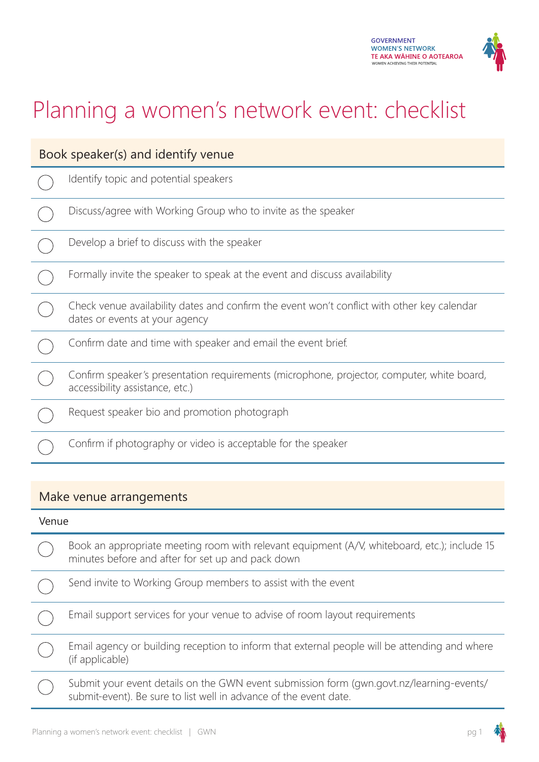

# Planning a women's network event: checklist

| Book speaker(s) and identify venue |                                                                                                                               |  |
|------------------------------------|-------------------------------------------------------------------------------------------------------------------------------|--|
|                                    | Identify topic and potential speakers                                                                                         |  |
|                                    | Discuss/agree with Working Group who to invite as the speaker                                                                 |  |
|                                    | Develop a brief to discuss with the speaker                                                                                   |  |
|                                    | Formally invite the speaker to speak at the event and discuss availability                                                    |  |
|                                    | Check venue availability dates and confirm the event won't conflict with other key calendar<br>dates or events at your agency |  |
|                                    | Confirm date and time with speaker and email the event brief.                                                                 |  |
|                                    | Confirm speaker's presentation requirements (microphone, projector, computer, white board,<br>accessibility assistance, etc.) |  |
|                                    | Request speaker bio and promotion photograph                                                                                  |  |
|                                    | Confirm if photography or video is acceptable for the speaker                                                                 |  |

#### Make venue arrangements

# Venue Book an appropriate meeting room with relevant equipment (A/V, whiteboard, etc.); include 15 minutes before and after for set up and pack down  $\bigcirc$ Send invite to Working Group members to assist with the event  $\begin{array}{c}\n\circ \\
\circ \\
\circ\n\end{array}$ Email support services for your venue to advise of room layout requirements Email agency or building reception to inform that external people will be attending and where (if applicable) Submit your event details on the GWN event submission form (gwn.govt.nz/learning-events/ submit-event). Be sure to list well in advance of the event date.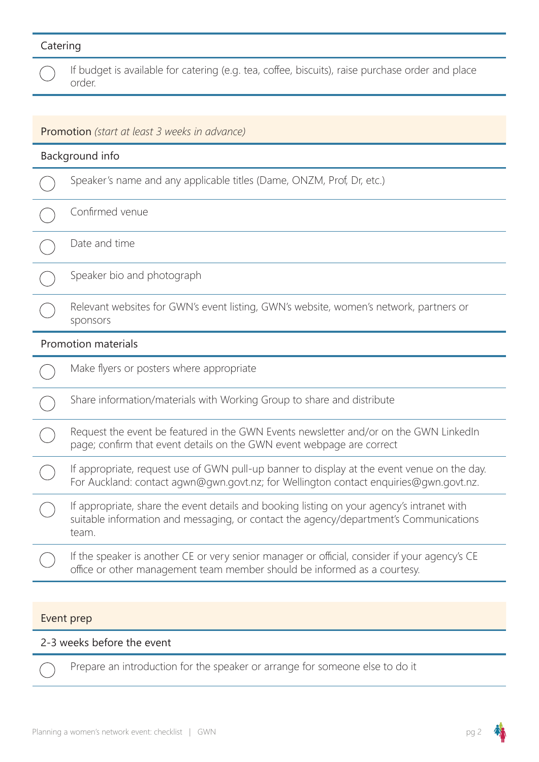## Catering

|                                                      | If budget is available for catering (e.g. tea, coffee, biscuits), raise purchase order and place<br>order.                                                                                   |  |
|------------------------------------------------------|----------------------------------------------------------------------------------------------------------------------------------------------------------------------------------------------|--|
|                                                      |                                                                                                                                                                                              |  |
| <b>Promotion</b> (start at least 3 weeks in advance) |                                                                                                                                                                                              |  |
| Background info                                      |                                                                                                                                                                                              |  |
|                                                      | Speaker's name and any applicable titles (Dame, ONZM, Prof, Dr, etc.)                                                                                                                        |  |
|                                                      | Confirmed venue                                                                                                                                                                              |  |
|                                                      | Date and time                                                                                                                                                                                |  |
|                                                      | Speaker bio and photograph                                                                                                                                                                   |  |
|                                                      | Relevant websites for GWN's event listing, GWN's website, women's network, partners or<br>sponsors                                                                                           |  |
| <b>Promotion materials</b>                           |                                                                                                                                                                                              |  |
|                                                      | Make flyers or posters where appropriate                                                                                                                                                     |  |
|                                                      | Share information/materials with Working Group to share and distribute                                                                                                                       |  |
|                                                      | Request the event be featured in the GWN Events newsletter and/or on the GWN LinkedIn<br>page; confirm that event details on the GWN event webpage are correct                               |  |
|                                                      | If appropriate, request use of GWN pull-up banner to display at the event venue on the day.<br>For Auckland: contact agwn@gwn.govt.nz; for Wellington contact enquiries@gwn.govt.nz.         |  |
|                                                      | If appropriate, share the event details and booking listing on your agency's intranet with<br>suitable information and messaging, or contact the agency/department's Communications<br>team. |  |
|                                                      | If the speaker is another CE or very senior manager or official, consider if your agency's CE<br>office or other management team member should be informed as a courtesy.                    |  |

#### Event prep

### 2-3 weeks before the event

Prepare an introduction for the speaker or arrange for someone else to do it